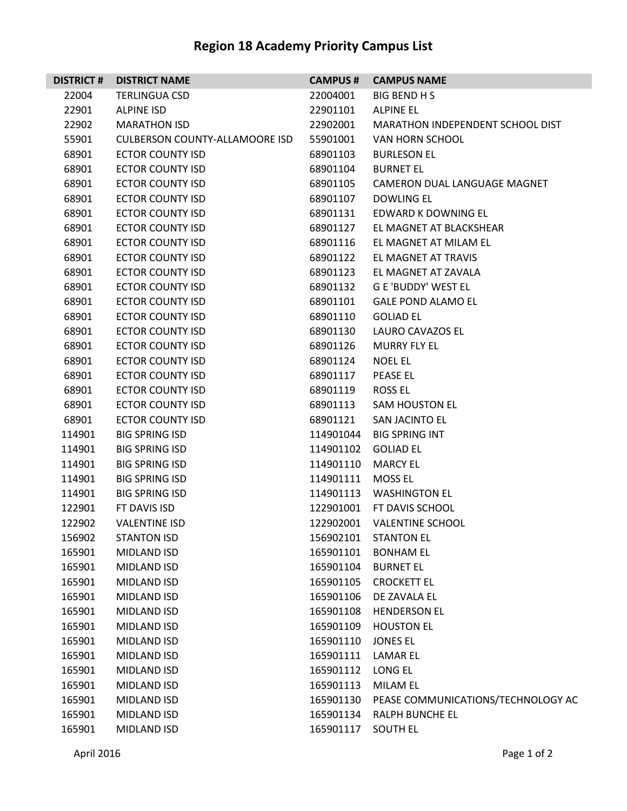## **Region 18 Academy Priority Campus List**

| <b>DISTRICT#</b> | <b>DISTRICT NAME</b>                  | <b>CAMPUS#</b>         | <b>CAMPUS NAME</b>                      |
|------------------|---------------------------------------|------------------------|-----------------------------------------|
| 22004            | <b>TERLINGUA CSD</b>                  | 22004001               | <b>BIG BEND H S</b>                     |
| 22901            | <b>ALPINE ISD</b>                     | 22901101               | <b>ALPINE EL</b>                        |
| 22902            | <b>MARATHON ISD</b>                   | 22902001               | MARATHON INDEPENDENT SCHOOL DIST        |
| 55901            | <b>CULBERSON COUNTY-ALLAMOORE ISD</b> | 55901001               | VAN HORN SCHOOL                         |
| 68901            | <b>ECTOR COUNTY ISD</b>               | 68901103               | <b>BURLESON EL</b>                      |
| 68901            | <b>ECTOR COUNTY ISD</b>               | 68901104               | <b>BURNET EL</b>                        |
| 68901            | <b>ECTOR COUNTY ISD</b>               | 68901105               | CAMERON DUAL LANGUAGE MAGNET            |
| 68901            | <b>ECTOR COUNTY ISD</b>               | 68901107               | <b>DOWLING EL</b>                       |
| 68901            | <b>ECTOR COUNTY ISD</b>               | 68901131               | EDWARD K DOWNING EL                     |
| 68901            | <b>ECTOR COUNTY ISD</b>               | 68901127               | EL MAGNET AT BLACKSHEAR                 |
| 68901            | <b>ECTOR COUNTY ISD</b>               | 68901116               | EL MAGNET AT MILAM EL                   |
| 68901            | <b>ECTOR COUNTY ISD</b>               | 68901122               | EL MAGNET AT TRAVIS                     |
| 68901            | <b>ECTOR COUNTY ISD</b>               | 68901123               | EL MAGNET AT ZAVALA                     |
| 68901            | <b>ECTOR COUNTY ISD</b>               | 68901132               | <b>G E 'BUDDY' WEST EL</b>              |
| 68901            | <b>ECTOR COUNTY ISD</b>               | 68901101               | <b>GALE POND ALAMO EL</b>               |
| 68901            | <b>ECTOR COUNTY ISD</b>               | 68901110               | <b>GOLIAD EL</b>                        |
| 68901            | <b>ECTOR COUNTY ISD</b>               | 68901130               | LAURO CAVAZOS EL                        |
| 68901            | <b>ECTOR COUNTY ISD</b>               | 68901126               | <b>MURRY FLY EL</b>                     |
| 68901            | <b>ECTOR COUNTY ISD</b>               | 68901124               | <b>NOEL EL</b>                          |
| 68901            | <b>ECTOR COUNTY ISD</b>               | 68901117               | PEASE EL                                |
| 68901            | <b>ECTOR COUNTY ISD</b>               | 68901119               | ROSS EL                                 |
| 68901            | <b>ECTOR COUNTY ISD</b>               | 68901113               | <b>SAM HOUSTON EL</b>                   |
| 68901            | <b>ECTOR COUNTY ISD</b>               | 68901121               | <b>SAN JACINTO EL</b>                   |
| 114901           | <b>BIG SPRING ISD</b>                 | 114901044              | <b>BIG SPRING INT</b>                   |
| 114901           | <b>BIG SPRING ISD</b>                 | 114901102              | <b>GOLIAD EL</b>                        |
| 114901           | <b>BIG SPRING ISD</b>                 | 114901110              | <b>MARCY EL</b><br><b>MOSS EL</b>       |
| 114901           | <b>BIG SPRING ISD</b>                 | 114901111              |                                         |
| 114901           | <b>BIG SPRING ISD</b>                 | 114901113              | <b>WASHINGTON EL</b><br>FT DAVIS SCHOOL |
| 122901           | FT DAVIS ISD<br><b>VALENTINE ISD</b>  | 122901001<br>122902001 | <b>VALENTINE SCHOOL</b>                 |
| 122902<br>156902 | <b>STANTON ISD</b>                    | 156902101              | <b>STANTON EL</b>                       |
| 165901           | MIDLAND ISD                           | 165901101              | <b>BONHAM EL</b>                        |
| 165901           | MIDLAND ISD                           | 165901104              | <b>BURNET EL</b>                        |
| 165901           | MIDLAND ISD                           | 165901105              | <b>CROCKETT EL</b>                      |
| 165901           | MIDLAND ISD                           | 165901106              | DE ZAVALA EL                            |
| 165901           | MIDLAND ISD                           | 165901108              | <b>HENDERSON EL</b>                     |
| 165901           | <b>MIDLAND ISD</b>                    | 165901109              | <b>HOUSTON EL</b>                       |
| 165901           | MIDLAND ISD                           | 165901110              | <b>JONES EL</b>                         |
| 165901           | MIDLAND ISD                           | 165901111              | LAMAR EL                                |
| 165901           | MIDLAND ISD                           | 165901112              | LONG EL                                 |
| 165901           | MIDLAND ISD                           | 165901113              | <b>MILAM EL</b>                         |
| 165901           | MIDLAND ISD                           | 165901130              | PEASE COMMUNICATIONS/TECHNOLOGY AC      |
| 165901           | MIDLAND ISD                           | 165901134              | <b>RALPH BUNCHE EL</b>                  |
| 165901           | MIDLAND ISD                           | 165901117              | <b>SOUTH EL</b>                         |